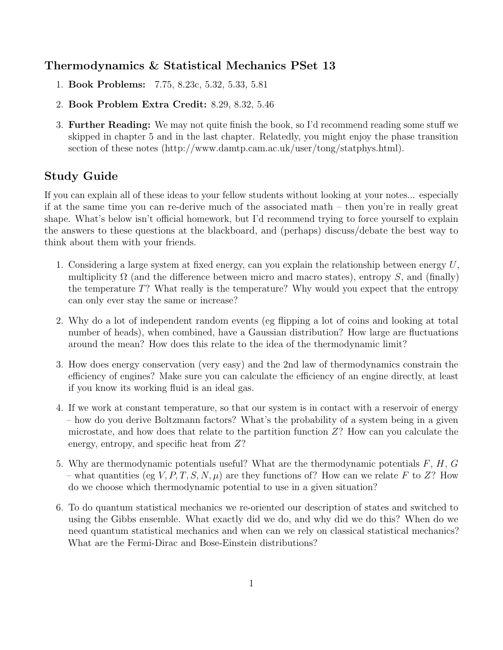## Thermodynamics & Statistical Mechanics PSet 13

- 1. Book Problems: 7.75, 8.23c, 5.32, 5.33, 5.81
- 2. Book Problem Extra Credit: 8.29, 8.32, 5.46
- 3. Further Reading: We may not quite finish the book, so I'd recommend reading some stuff we skipped in chapter 5 and in the last chapter. Relatedly, you might enjoy the phase transition section of these notes (http://www.damtp.cam.ac.uk/user/tong/statphys.html).

## Study Guide

If you can explain all of these ideas to your fellow students without looking at your notes... especially if at the same time you can re-derive much of the associated math – then you're in really great shape. What's below isn't official homework, but I'd recommend trying to force yourself to explain the answers to these questions at the blackboard, and (perhaps) discuss/debate the best way to think about them with your friends.

- 1. Considering a large system at fixed energy, can you explain the relationship between energy  $U$ , multiplicity  $\Omega$  (and the difference between micro and macro states), entropy S, and (finally) the temperature  $T$ ? What really is the temperature? Why would you expect that the entropy can only ever stay the same or increase?
- 2. Why do a lot of independent random events (eg flipping a lot of coins and looking at total number of heads), when combined, have a Gaussian distribution? How large are fluctuations around the mean? How does this relate to the idea of the thermodynamic limit?
- 3. How does energy conservation (very easy) and the 2nd law of thermodynamics constrain the efficiency of engines? Make sure you can calculate the efficiency of an engine directly, at least if you know its working fluid is an ideal gas.
- 4. If we work at constant temperature, so that our system is in contact with a reservoir of energy – how do you derive Boltzmann factors? What's the probability of a system being in a given microstate, and how does that relate to the partition function  $Z$ ? How can you calculate the energy, entropy, and specific heat from Z?
- 5. Why are thermodynamic potentials useful? What are the thermodynamic potentials  $F, H, G$ – what quantities (eg V, P, T, S, N,  $\mu$ ) are they functions of? How can we relate F to Z? How do we choose which thermodynamic potential to use in a given situation?
- 6. To do quantum statistical mechanics we re-oriented our description of states and switched to using the Gibbs ensemble. What exactly did we do, and why did we do this? When do we need quantum statistical mechanics and when can we rely on classical statistical mechanics? What are the Fermi-Dirac and Bose-Einstein distributions?